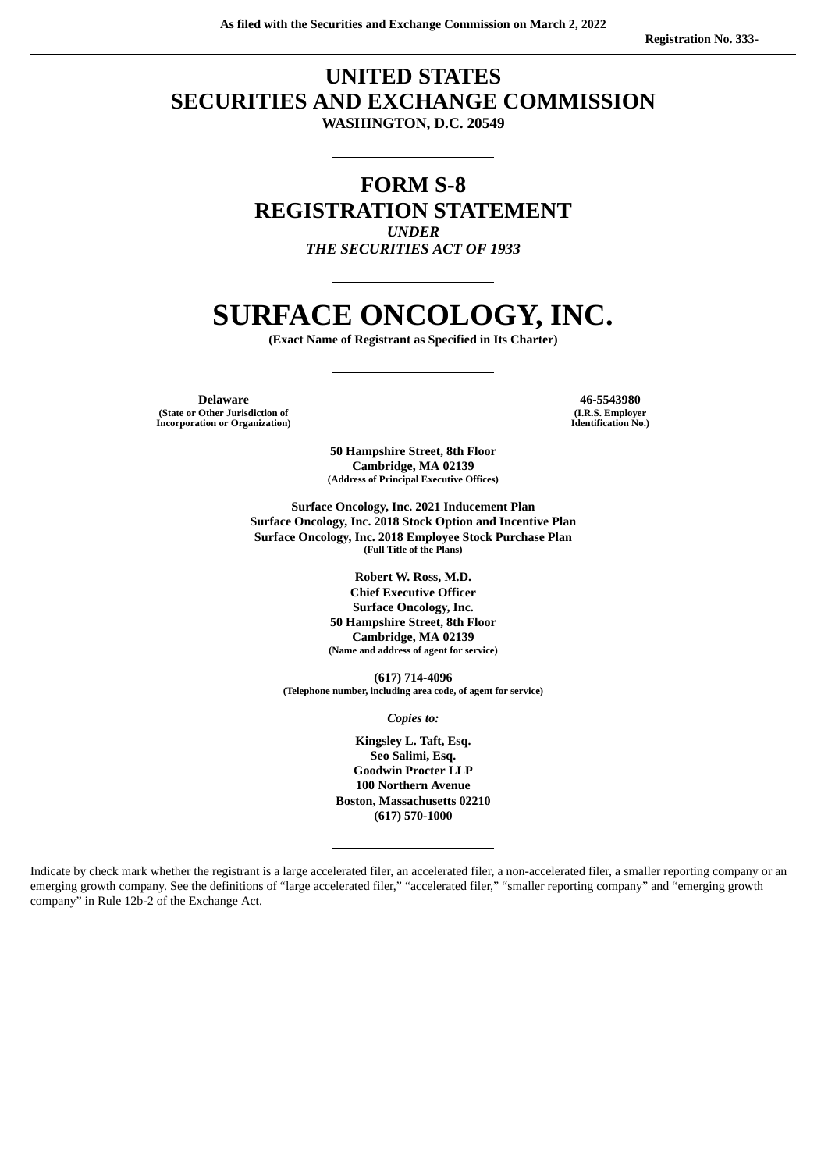# **UNITED STATES SECURITIES AND EXCHANGE COMMISSION WASHINGTON, D.C. 20549**

# **FORM S-8 REGISTRATION STATEMENT** *UNDER*

*THE SECURITIES ACT OF 1933*

# **SURFACE ONCOLOGY, INC.**

**(Exact Name of Registrant as Specified in Its Charter)**

**Delaware 46-5543980 (State or Other Jurisdiction of Incorporation or Organization)**

**(I.R.S. Employer Identification No.)**

**50 Hampshire Street, 8th Floor Cambridge, MA 02139 (Address of Principal Executive Offices)**

**Surface Oncology, Inc. 2021 Inducement Plan Surface Oncology, Inc. 2018 Stock Option and Incentive Plan Surface Oncology, Inc. 2018 Employee Stock Purchase Plan (Full Title of the Plans)**

> **Robert W. Ross, M.D. Chief Executive Officer Surface Oncology, Inc. 50 Hampshire Street, 8th Floor Cambridge, MA 02139 (Name and address of agent for service)**

**(617) 714-4096 (Telephone number, including area code, of agent for service)**

*Copies to:*

**Kingsley L. Taft, Esq. Seo Salimi, Esq. Goodwin Procter LLP 100 Northern Avenue Boston, Massachusetts 02210 (617) 570-1000**

Indicate by check mark whether the registrant is a large accelerated filer, an accelerated filer, a non-accelerated filer, a smaller reporting company or an emerging growth company. See the definitions of "large accelerated filer," "accelerated filer," "smaller reporting company" and "emerging growth company" in Rule 12b-2 of the Exchange Act.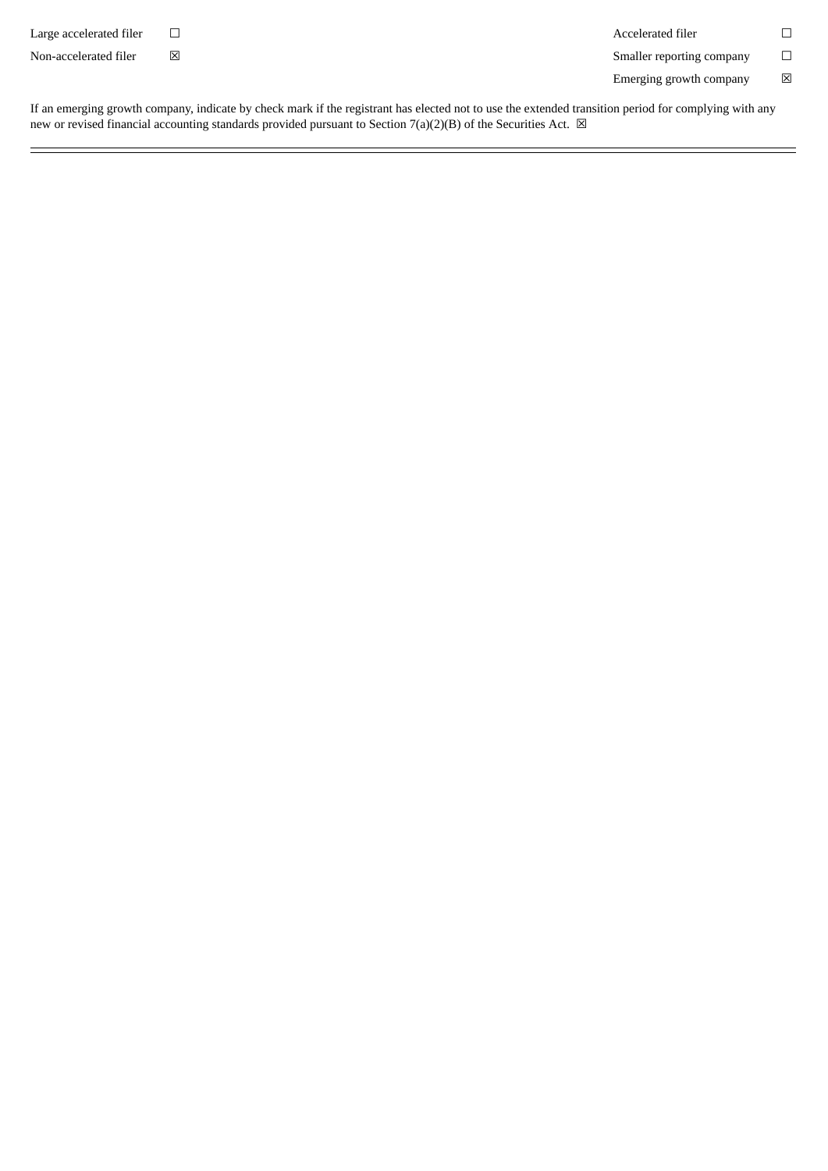Large accelerated filer  $□$   $□$ 

Non-accelerated filer **⊠** <br> **Non-accelerated filer <b>N** 

Emerging growth company  $\hfill \boxtimes$ 

If an emerging growth company, indicate by check mark if the registrant has elected not to use the extended transition period for complying with any new or revised financial accounting standards provided pursuant to Section 7(a)(2)(B) of the Securities Act.  $\boxtimes$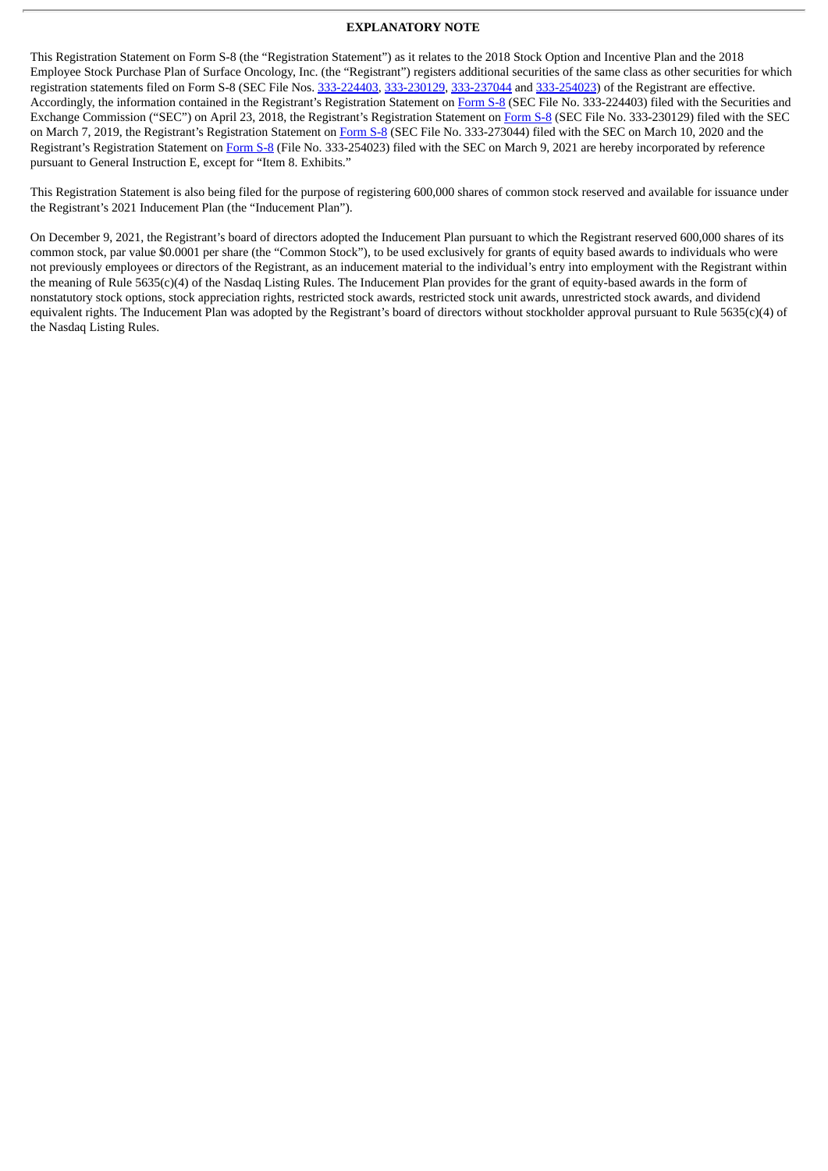## **EXPLANATORY NOTE**

This Registration Statement on Form S-8 (the "Registration Statement") as it relates to the 2018 Stock Option and Incentive Plan and the 2018 Employee Stock Purchase Plan of Surface Oncology, Inc. (the "Registrant") registers additional securities of the same class as other securities for which registration statements filed on Form S-8 (SEC File Nos. [333-224403](http://www.sec.gov/Archives/edgar/data/1718108/000119312518126763/d548239ds8.htm), [333-230129](http://www.sec.gov/Archives/edgar/data/1718108/000119312519067260/d715233ds8.htm), [333-237044](http://www.sec.gov/Archives/edgar/data/1718108/000119312520067697/d932413ds8.htm) and [333-254023](http://www.sec.gov/Archives/edgar/data/0001718108/000119312521073884/d123167ds8.htm)) of the Registrant are effective. Accordingly, the information contained in the Registrant's Registration Statement on [Form](http://www.sec.gov/Archives/edgar/data/1718108/000119312518126763/d548239ds8.htm) S-8 (SEC File No. 333-224403) filed with the Securities and Exchange Commission ("SEC") on April 23, 2018, the Registrant's Registration Statement on [Form](http://www.sec.gov/Archives/edgar/data/1718108/000119312519067260/d715233ds8.htm) S-8 (SEC File No. 333-230129) filed with the SEC on March 7, 2019, the Registrant's Registration Statement on [Form](http://www.sec.gov/Archives/edgar/data/1718108/000119312520067697/d932413ds8.htm) S-8 (SEC File No. 333-273044) filed with the SEC on March 10, 2020 and the Registrant's Registration Statement on [Form](http://www.sec.gov/Archives/edgar/data/0001718108/000119312521073884/d123167ds8.htm) S-8 (File No. 333-254023) filed with the SEC on March 9, 2021 are hereby incorporated by reference pursuant to General Instruction E, except for "Item 8. Exhibits."

This Registration Statement is also being filed for the purpose of registering 600,000 shares of common stock reserved and available for issuance under the Registrant's 2021 Inducement Plan (the "Inducement Plan").

On December 9, 2021, the Registrant's board of directors adopted the Inducement Plan pursuant to which the Registrant reserved 600,000 shares of its common stock, par value \$0.0001 per share (the "Common Stock"), to be used exclusively for grants of equity based awards to individuals who were not previously employees or directors of the Registrant, as an inducement material to the individual's entry into employment with the Registrant within the meaning of Rule 5635(c)(4) of the Nasdaq Listing Rules. The Inducement Plan provides for the grant of equity-based awards in the form of nonstatutory stock options, stock appreciation rights, restricted stock awards, restricted stock unit awards, unrestricted stock awards, and dividend equivalent rights. The Inducement Plan was adopted by the Registrant's board of directors without stockholder approval pursuant to Rule 5635(c)(4) of the Nasdaq Listing Rules.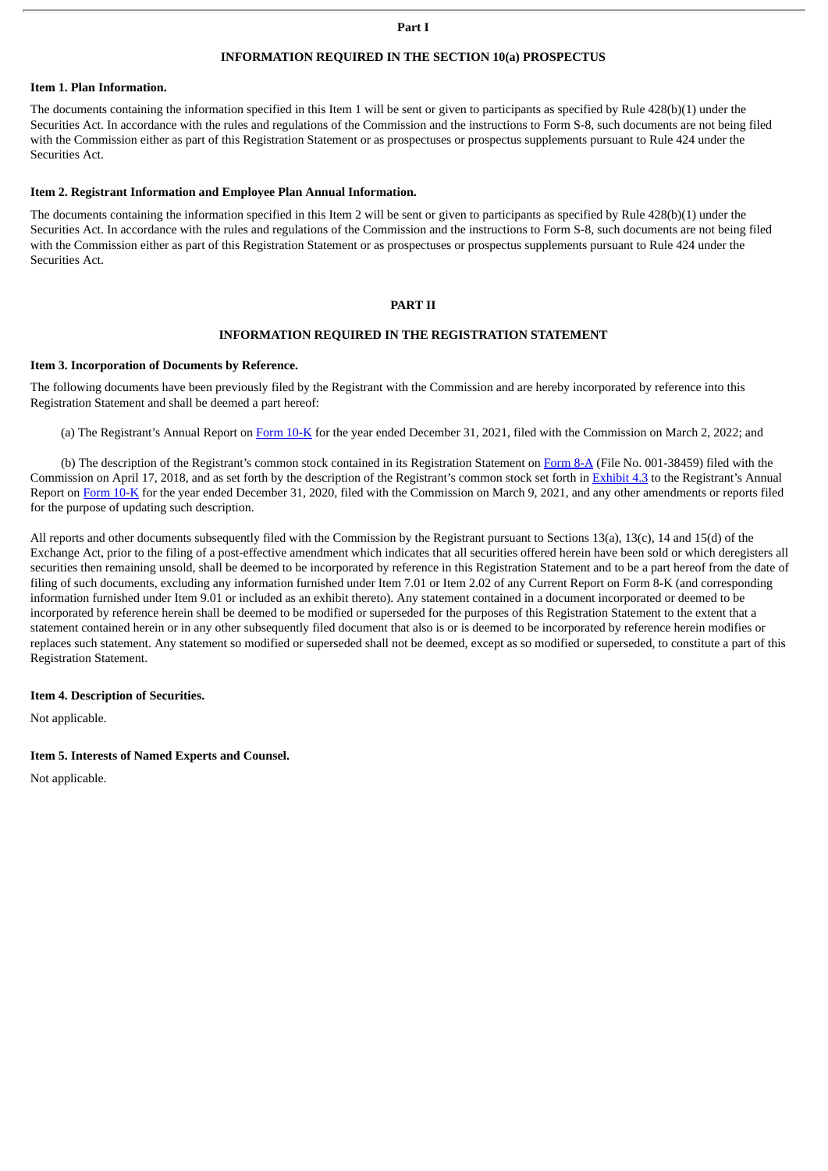#### **Part I**

# **INFORMATION REQUIRED IN THE SECTION 10(a) PROSPECTUS**

## **Item 1. Plan Information.**

The documents containing the information specified in this Item 1 will be sent or given to participants as specified by Rule 428(b)(1) under the Securities Act. In accordance with the rules and regulations of the Commission and the instructions to Form S-8, such documents are not being filed with the Commission either as part of this Registration Statement or as prospectuses or prospectus supplements pursuant to Rule 424 under the Securities Act.

#### **Item 2. Registrant Information and Employee Plan Annual Information.**

The documents containing the information specified in this Item 2 will be sent or given to participants as specified by Rule 428(b)(1) under the Securities Act. In accordance with the rules and regulations of the Commission and the instructions to Form S-8, such documents are not being filed with the Commission either as part of this Registration Statement or as prospectuses or prospectus supplements pursuant to Rule 424 under the Securities Act.

#### **PART II**

#### **INFORMATION REQUIRED IN THE REGISTRATION STATEMENT**

#### **Item 3. Incorporation of Documents by Reference.**

The following documents have been previously filed by the Registrant with the Commission and are hereby incorporated by reference into this Registration Statement and shall be deemed a part hereof:

(a) The Registrant's Annual Report on [Form](http://www.sec.gov/Archives/edgar/data/1718108/000171810822000006/surf-20211231.htm) 10-K for the year ended December 31, 2021, filed with the Commission on March 2, 2022; and

(b) The description of the Registrant's common stock contained in its Registration Statement on [Form](http://www.sec.gov/Archives/edgar/data/0001718108/000119312518119792/d490101d8a12b.htm) 8-A (File No. 001-38459) filed with the Commission on April 17, 2018, and as set forth by the description of the Registrant's common stock set forth in [Exhibit](http://www.sec.gov/Archives/edgar/data/0001718108/000156459020009521/surf-ex43_346.htm) 4.3 to the Registrant's Annual Report on [Form](http://www.sec.gov/ix?doc=/Archives/edgar/data/1718108/000171810821000013/surf-20201231.htm) 10-K for the year ended December 31, 2020, filed with the Commission on March 9, 2021, and any other amendments or reports filed for the purpose of updating such description.

All reports and other documents subsequently filed with the Commission by the Registrant pursuant to Sections 13(a), 13(c), 14 and 15(d) of the Exchange Act, prior to the filing of a post-effective amendment which indicates that all securities offered herein have been sold or which deregisters all securities then remaining unsold, shall be deemed to be incorporated by reference in this Registration Statement and to be a part hereof from the date of filing of such documents, excluding any information furnished under Item 7.01 or Item 2.02 of any Current Report on Form 8-K (and corresponding information furnished under Item 9.01 or included as an exhibit thereto). Any statement contained in a document incorporated or deemed to be incorporated by reference herein shall be deemed to be modified or superseded for the purposes of this Registration Statement to the extent that a statement contained herein or in any other subsequently filed document that also is or is deemed to be incorporated by reference herein modifies or replaces such statement. Any statement so modified or superseded shall not be deemed, except as so modified or superseded, to constitute a part of this Registration Statement.

# **Item 4. Description of Securities.**

Not applicable.

#### **Item 5. Interests of Named Experts and Counsel.**

Not applicable.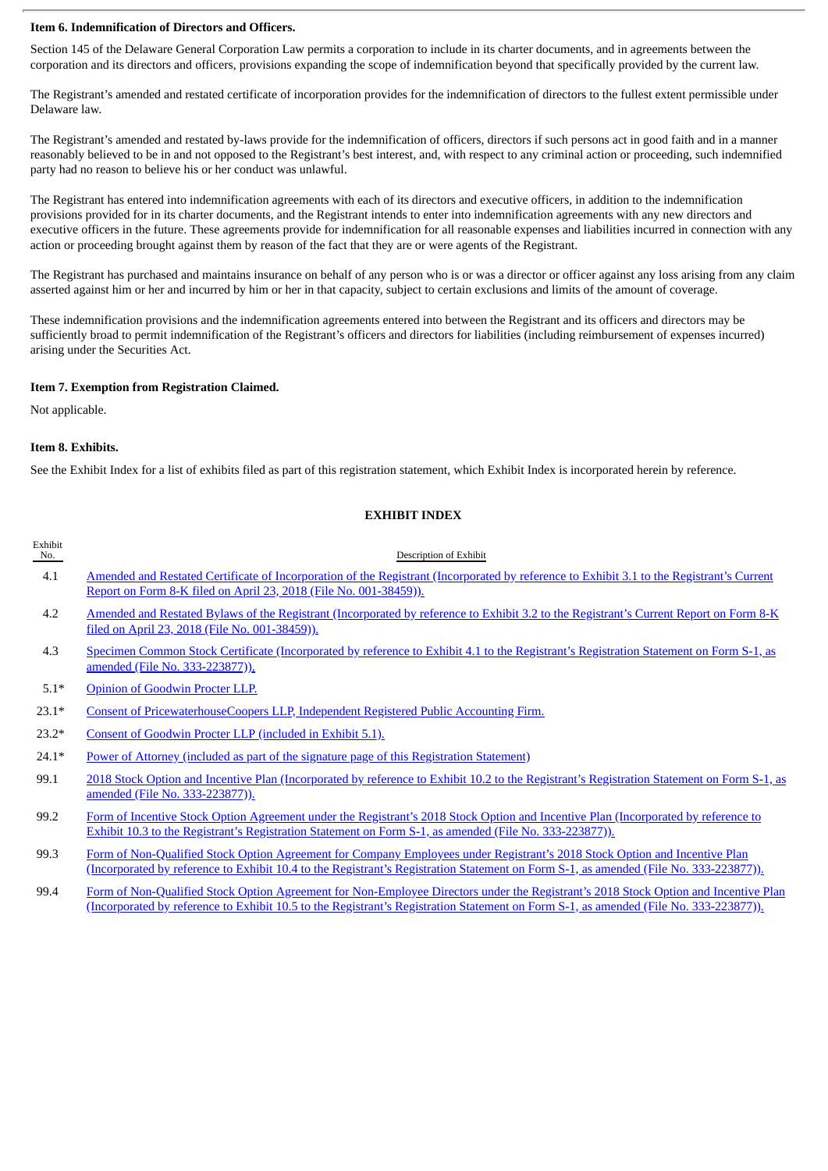# **Item 6. Indemnification of Directors and Officers.**

Section 145 of the Delaware General Corporation Law permits a corporation to include in its charter documents, and in agreements between the corporation and its directors and officers, provisions expanding the scope of indemnification beyond that specifically provided by the current law.

The Registrant's amended and restated certificate of incorporation provides for the indemnification of directors to the fullest extent permissible under Delaware law.

The Registrant's amended and restated by-laws provide for the indemnification of officers, directors if such persons act in good faith and in a manner reasonably believed to be in and not opposed to the Registrant's best interest, and, with respect to any criminal action or proceeding, such indemnified party had no reason to believe his or her conduct was unlawful.

The Registrant has entered into indemnification agreements with each of its directors and executive officers, in addition to the indemnification provisions provided for in its charter documents, and the Registrant intends to enter into indemnification agreements with any new directors and executive officers in the future. These agreements provide for indemnification for all reasonable expenses and liabilities incurred in connection with any action or proceeding brought against them by reason of the fact that they are or were agents of the Registrant.

The Registrant has purchased and maintains insurance on behalf of any person who is or was a director or officer against any loss arising from any claim asserted against him or her and incurred by him or her in that capacity, subject to certain exclusions and limits of the amount of coverage.

These indemnification provisions and the indemnification agreements entered into between the Registrant and its officers and directors may be sufficiently broad to permit indemnification of the Registrant's officers and directors for liabilities (including reimbursement of expenses incurred) arising under the Securities Act.

# **Item 7. Exemption from Registration Claimed.**

Not applicable.

# **Item 8. Exhibits.**

See the Exhibit Index for a list of exhibits filed as part of this registration statement, which Exhibit Index is incorporated herein by reference.

# **EXHIBIT INDEX**

| Exhibit<br>No. | Description of Exhibit                                                                                                                                                                                                                                              |
|----------------|---------------------------------------------------------------------------------------------------------------------------------------------------------------------------------------------------------------------------------------------------------------------|
| 4.1            | Amended and Restated Certificate of Incorporation of the Registrant (Incorporated by reference to Exhibit 3.1 to the Registrant's Current<br>Report on Form 8-K filed on April 23, 2018 (File No. 001-38459)).                                                      |
| 4.2            | Amended and Restated Bylaws of the Registrant (Incorporated by reference to Exhibit 3.2 to the Registrant's Current Report on Form 8-K<br>filed on April 23, 2018 (File No. 001-38459)).                                                                            |
| 4.3            | Specimen Common Stock Certificate (Incorporated by reference to Exhibit 4.1 to the Registrant's Registration Statement on Form S-1, as<br>amended (File No. 333-223877)).                                                                                           |
| $5.1*$         | Opinion of Goodwin Procter LLP.                                                                                                                                                                                                                                     |
| $23.1*$        | <b>Consent of PricewaterhouseCoopers LLP, Independent Registered Public Accounting Firm.</b>                                                                                                                                                                        |
| $23.2*$        | Consent of Goodwin Procter LLP (included in Exhibit 5.1).                                                                                                                                                                                                           |
| $24.1*$        | Power of Attorney (included as part of the signature page of this Registration Statement)                                                                                                                                                                           |
| 99.1           | 2018 Stock Option and Incentive Plan (Incorporated by reference to Exhibit 10.2 to the Registrant's Registration Statement on Form S-1, as<br>amended (File No. 333-223877)).                                                                                       |
| 99.2           | Form of Incentive Stock Option Agreement under the Registrant's 2018 Stock Option and Incentive Plan (Incorporated by reference to<br>Exhibit 10.3 to the Registrant's Registration Statement on Form S-1, as amended (File No. 333-223877)).                       |
| 99.3           | Form of Non-Qualified Stock Option Agreement for Company Employees under Registrant's 2018 Stock Option and Incentive Plan<br>(Incorporated by reference to Exhibit 10.4 to the Registrant's Registration Statement on Form S-1, as amended (File No. 333-223877)). |

99.4 Form of Non-Qualified Stock Option Agreement for [Non-Employee](http://www.sec.gov/Archives/edgar/data/1718108/000119312518094098/d471930dex105.htm) Directors under the Registrant's 2018 Stock Option and Incentive Plan (Incorporated by reference to Exhibit 10.5 to the Registrant's Registration Statement on Form S-1, as amended (File No. 333-223877)).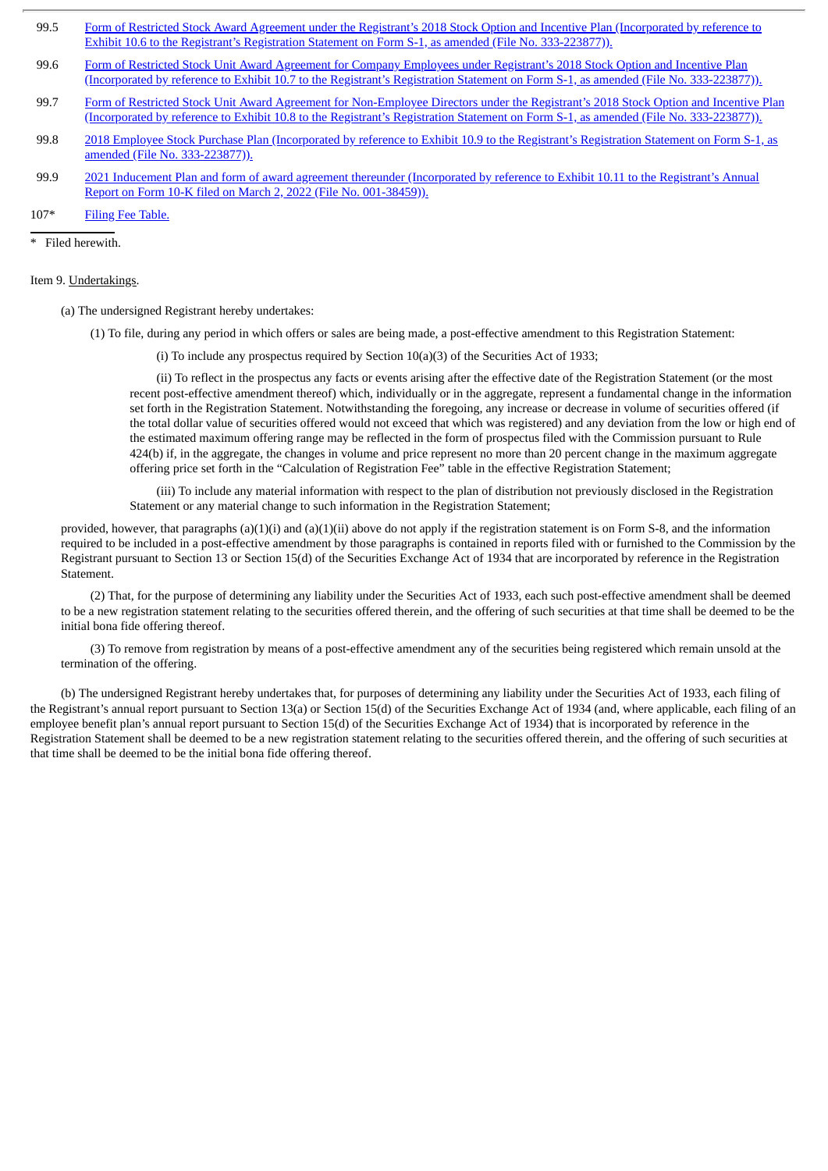- 99.5 Form of Restricted Stock Award Agreement under the Registrant's 2018 Stock Option and Incentive Plan (Incorporated by reference to Exhibit 10.6 to the Registrant's Registration Statement on Form S-1, as amended (File No. [333-223877\)\).](http://www.sec.gov/Archives/edgar/data/1718108/000119312518094098/d471930dex106.htm)
- 99.6 Form of Restricted Stock Unit Award Agreement for Company Employees under Registrant's 2018 Stock Option and Incentive Plan (Incorporated by reference to Exhibit 10.7 to the Registrant's Registration Statement on Form S-1, as amended (File No. [333-223877\)\).](http://www.sec.gov/Archives/edgar/data/1718108/000119312518094098/d471930dex107.htm)
- 99.7 Form of Restricted Stock Unit Award Agreement for [Non-Employee](http://www.sec.gov/Archives/edgar/data/1718108/000119312518094098/d471930dex108.htm) Directors under the Registrant's 2018 Stock Option and Incentive Plan (Incorporated by reference to Exhibit 10.8 to the Registrant's Registration Statement on Form S-1, as amended (File No. 333-223877)).
- 99.8 2018 Employee Stock Purchase Plan (Incorporated by reference to Exhibit 10.9 to the Registrant's Registration Statement on Form S-1, as amended (File No. [333-223877\)\).](http://www.sec.gov/Archives/edgar/data/1718108/000119312518094098/d471930dex109.htm)
- 99.9 2021 Inducement Plan and form of award agreement thereunder [\(Incorporated](http://www.sec.gov/Archives/edgar/data/1718108/000171810822000006/surf-12312021xexx1011.htm) by reference to Exhibit 10.11 to the Registrant's Annual Report on Form 10-K filed on March 2, 2022 (File No. 001-38459)).
- 107\* Filing Fee [Table.](#page-10-0)

\* Filed herewith.

#### Item 9. Undertakings.

(a) The undersigned Registrant hereby undertakes:

- (1) To file, during any period in which offers or sales are being made, a post-effective amendment to this Registration Statement:
	- (i) To include any prospectus required by Section 10(a)(3) of the Securities Act of 1933;

(ii) To reflect in the prospectus any facts or events arising after the effective date of the Registration Statement (or the most recent post-effective amendment thereof) which, individually or in the aggregate, represent a fundamental change in the information set forth in the Registration Statement. Notwithstanding the foregoing, any increase or decrease in volume of securities offered (if the total dollar value of securities offered would not exceed that which was registered) and any deviation from the low or high end of the estimated maximum offering range may be reflected in the form of prospectus filed with the Commission pursuant to Rule 424(b) if, in the aggregate, the changes in volume and price represent no more than 20 percent change in the maximum aggregate offering price set forth in the "Calculation of Registration Fee" table in the effective Registration Statement;

(iii) To include any material information with respect to the plan of distribution not previously disclosed in the Registration Statement or any material change to such information in the Registration Statement;

provided, however, that paragraphs (a)(1)(i) and (a)(1)(ii) above do not apply if the registration statement is on Form S-8, and the information required to be included in a post-effective amendment by those paragraphs is contained in reports filed with or furnished to the Commission by the Registrant pursuant to Section 13 or Section 15(d) of the Securities Exchange Act of 1934 that are incorporated by reference in the Registration Statement.

(2) That, for the purpose of determining any liability under the Securities Act of 1933, each such post-effective amendment shall be deemed to be a new registration statement relating to the securities offered therein, and the offering of such securities at that time shall be deemed to be the initial bona fide offering thereof.

(3) To remove from registration by means of a post-effective amendment any of the securities being registered which remain unsold at the termination of the offering.

(b) The undersigned Registrant hereby undertakes that, for purposes of determining any liability under the Securities Act of 1933, each filing of the Registrant's annual report pursuant to Section 13(a) or Section 15(d) of the Securities Exchange Act of 1934 (and, where applicable, each filing of an employee benefit plan's annual report pursuant to Section 15(d) of the Securities Exchange Act of 1934) that is incorporated by reference in the Registration Statement shall be deemed to be a new registration statement relating to the securities offered therein, and the offering of such securities at that time shall be deemed to be the initial bona fide offering thereof.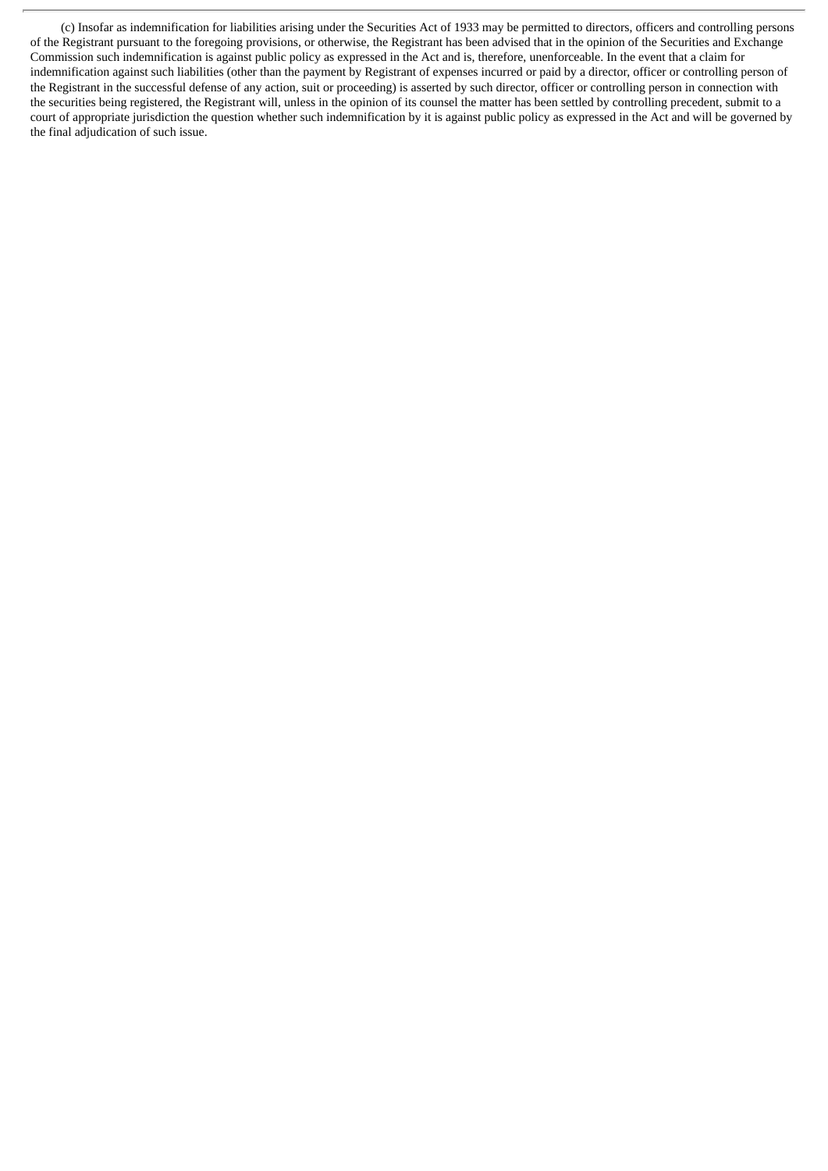(c) Insofar as indemnification for liabilities arising under the Securities Act of 1933 may be permitted to directors, officers and controlling persons of the Registrant pursuant to the foregoing provisions, or otherwise, the Registrant has been advised that in the opinion of the Securities and Exchange Commission such indemnification is against public policy as expressed in the Act and is, therefore, unenforceable. In the event that a claim for indemnification against such liabilities (other than the payment by Registrant of expenses incurred or paid by a director, officer or controlling person of the Registrant in the successful defense of any action, suit or proceeding) is asserted by such director, officer or controlling person in connection with the securities being registered, the Registrant will, unless in the opinion of its counsel the matter has been settled by controlling precedent, submit to a court of appropriate jurisdiction the question whether such indemnification by it is against public policy as expressed in the Act and will be governed by the final adjudication of such issue.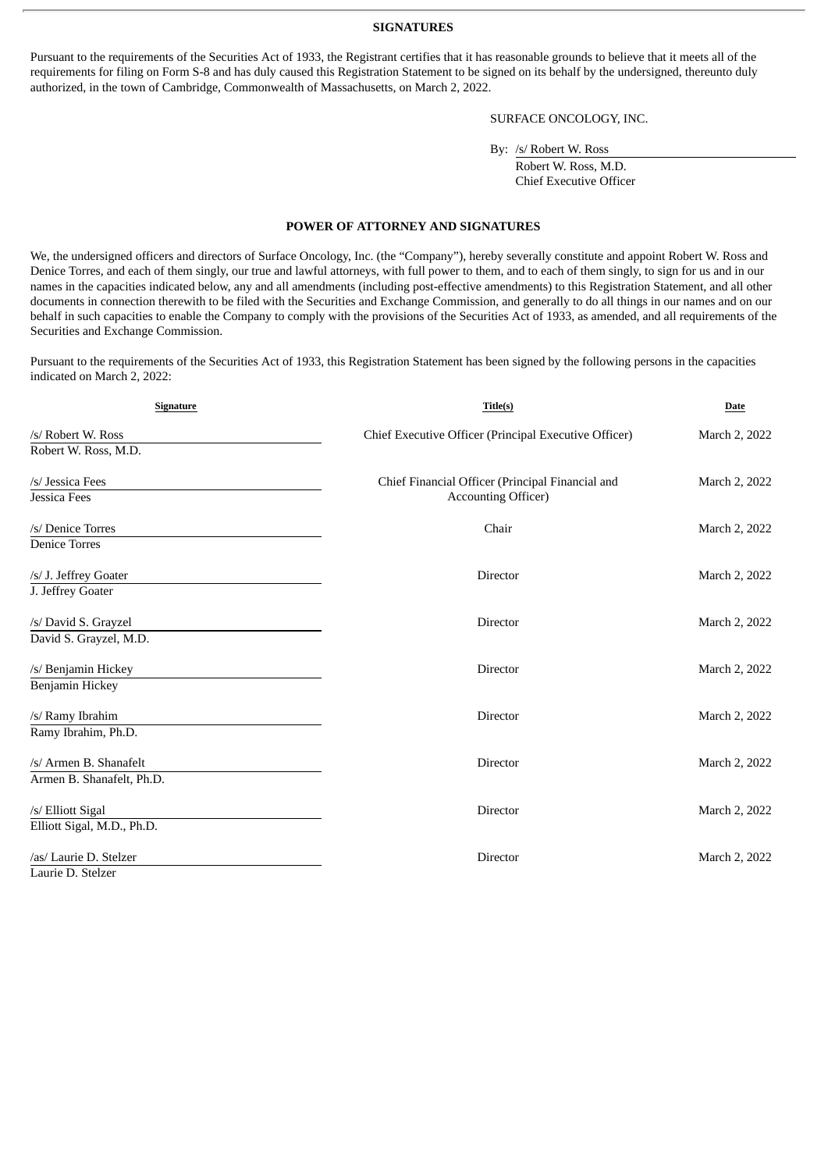#### **SIGNATURES**

Pursuant to the requirements of the Securities Act of 1933, the Registrant certifies that it has reasonable grounds to believe that it meets all of the requirements for filing on Form S-8 and has duly caused this Registration Statement to be signed on its behalf by the undersigned, thereunto duly authorized, in the town of Cambridge, Commonwealth of Massachusetts, on March 2, 2022.

# SURFACE ONCOLOGY, INC.

By: /s/ Robert W. Ross

Robert W. Ross, M.D. Chief Executive Officer

#### **POWER OF ATTORNEY AND SIGNATURES**

<span id="page-7-0"></span>We, the undersigned officers and directors of Surface Oncology, Inc. (the "Company"), hereby severally constitute and appoint Robert W. Ross and Denice Torres, and each of them singly, our true and lawful attorneys, with full power to them, and to each of them singly, to sign for us and in our names in the capacities indicated below, any and all amendments (including post-effective amendments) to this Registration Statement, and all other documents in connection therewith to be filed with the Securities and Exchange Commission, and generally to do all things in our names and on our behalf in such capacities to enable the Company to comply with the provisions of the Securities Act of 1933, as amended, and all requirements of the Securities and Exchange Commission.

Pursuant to the requirements of the Securities Act of 1933, this Registration Statement has been signed by the following persons in the capacities indicated on March 2, 2022:

| Signature                                           | Title(s)                                                                       | Date          |
|-----------------------------------------------------|--------------------------------------------------------------------------------|---------------|
| /s/ Robert W. Ross<br>Robert W. Ross, M.D.          | Chief Executive Officer (Principal Executive Officer)                          | March 2, 2022 |
| /s/ Jessica Fees<br><b>Jessica Fees</b>             | Chief Financial Officer (Principal Financial and<br><b>Accounting Officer)</b> | March 2, 2022 |
| /s/ Denice Torres<br><b>Denice Torres</b>           | Chair                                                                          | March 2, 2022 |
| /s/ J. Jeffrey Goater                               | <b>Director</b>                                                                | March 2, 2022 |
| J. Jeffrey Goater<br>/s/ David S. Grayzel           | Director                                                                       | March 2, 2022 |
| David S. Grayzel, M.D.<br>/s/ Benjamin Hickey       | <b>Director</b>                                                                | March 2, 2022 |
| Benjamin Hickey<br>/s/ Ramy Ibrahim                 | <b>Director</b>                                                                | March 2, 2022 |
| Ramy Ibrahim, Ph.D.                                 |                                                                                |               |
| /s/ Armen B. Shanafelt<br>Armen B. Shanafelt, Ph.D. | <b>Director</b>                                                                | March 2, 2022 |
| /s/ Elliott Sigal<br>Elliott Sigal, M.D., Ph.D.     | <b>Director</b>                                                                | March 2, 2022 |
| /as/ Laurie D. Stelzer<br>Laurie D. Stelzer         | <b>Director</b>                                                                | March 2, 2022 |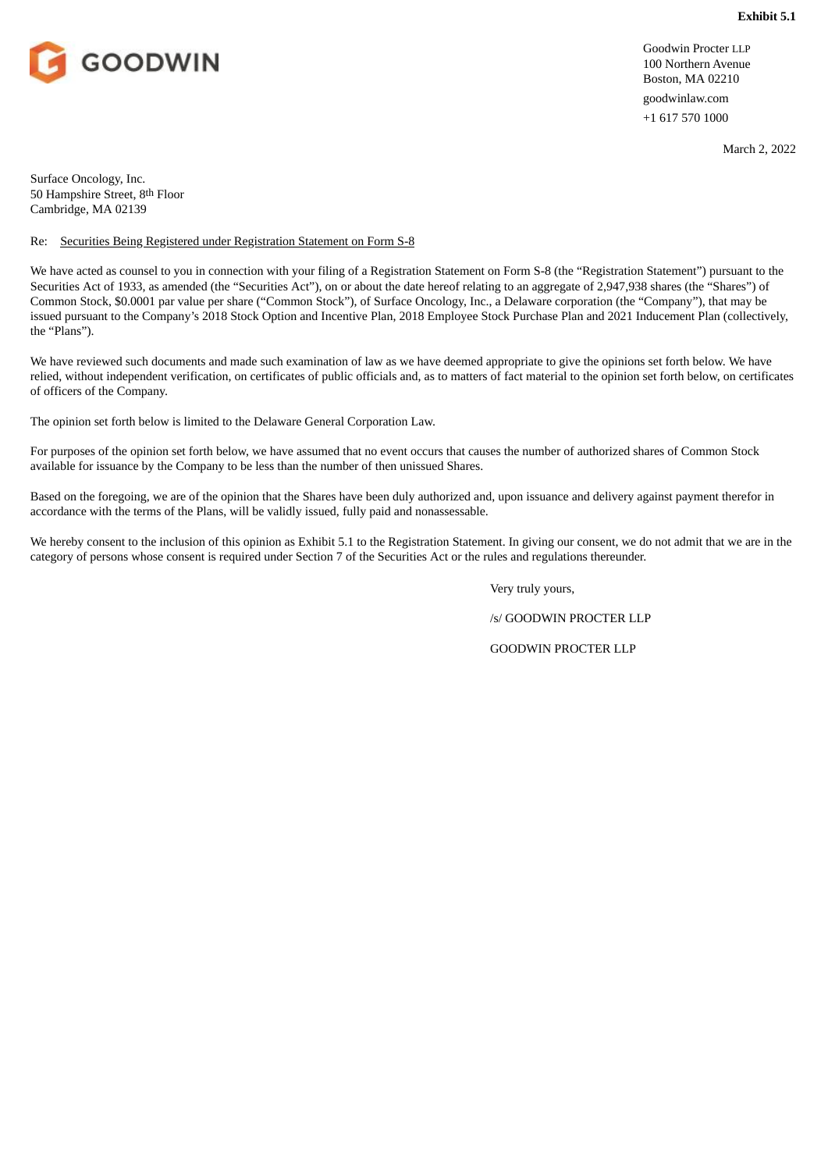<span id="page-8-0"></span>

Goodwin Procter LLP 100 Northern Avenue Boston, MA 02210 goodwinlaw.com +1 617 570 1000

March 2, 2022

Surface Oncology, Inc. 50 Hampshire Street, 8th Floor Cambridge, MA 02139

# Re: Securities Being Registered under Registration Statement on Form S-8

We have acted as counsel to you in connection with your filing of a Registration Statement on Form S-8 (the "Registration Statement") pursuant to the Securities Act of 1933, as amended (the "Securities Act"), on or about the date hereof relating to an aggregate of 2,947,938 shares (the "Shares") of Common Stock, \$0.0001 par value per share ("Common Stock"), of Surface Oncology, Inc., a Delaware corporation (the "Company"), that may be issued pursuant to the Company's 2018 Stock Option and Incentive Plan, 2018 Employee Stock Purchase Plan and 2021 Inducement Plan (collectively, the "Plans").

We have reviewed such documents and made such examination of law as we have deemed appropriate to give the opinions set forth below. We have relied, without independent verification, on certificates of public officials and, as to matters of fact material to the opinion set forth below, on certificates of officers of the Company.

The opinion set forth below is limited to the Delaware General Corporation Law.

For purposes of the opinion set forth below, we have assumed that no event occurs that causes the number of authorized shares of Common Stock available for issuance by the Company to be less than the number of then unissued Shares.

Based on the foregoing, we are of the opinion that the Shares have been duly authorized and, upon issuance and delivery against payment therefor in accordance with the terms of the Plans, will be validly issued, fully paid and nonassessable.

We hereby consent to the inclusion of this opinion as Exhibit 5.1 to the Registration Statement. In giving our consent, we do not admit that we are in the category of persons whose consent is required under Section 7 of the Securities Act or the rules and regulations thereunder.

Very truly yours,

/s/ GOODWIN PROCTER LLP

GOODWIN PROCTER LLP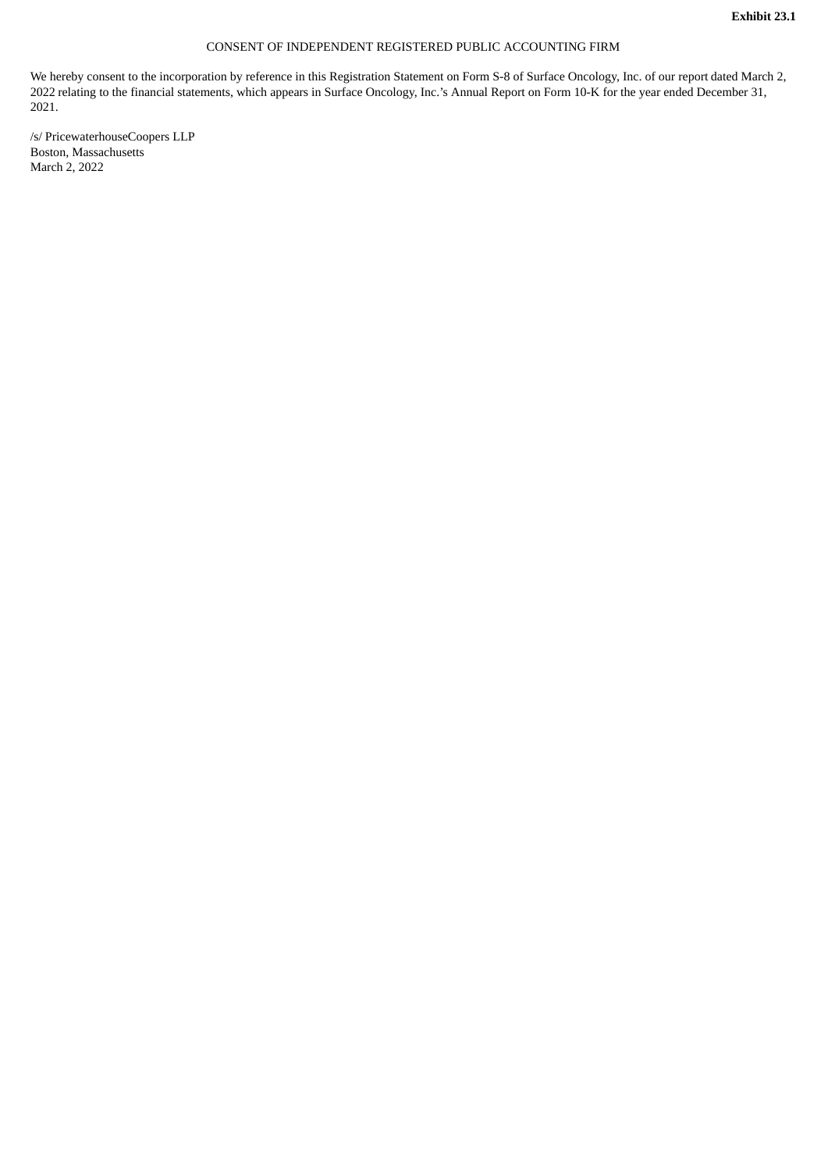# CONSENT OF INDEPENDENT REGISTERED PUBLIC ACCOUNTING FIRM

<span id="page-9-0"></span>We hereby consent to the incorporation by reference in this Registration Statement on Form S-8 of Surface Oncology, Inc. of our report dated March 2, 2022 relating to the financial statements, which appears in Surface Oncology, Inc.'s Annual Report on Form 10-K for the year ended December 31, 2021.

/s/ PricewaterhouseCoopers LLP Boston, Massachusetts March 2, 2022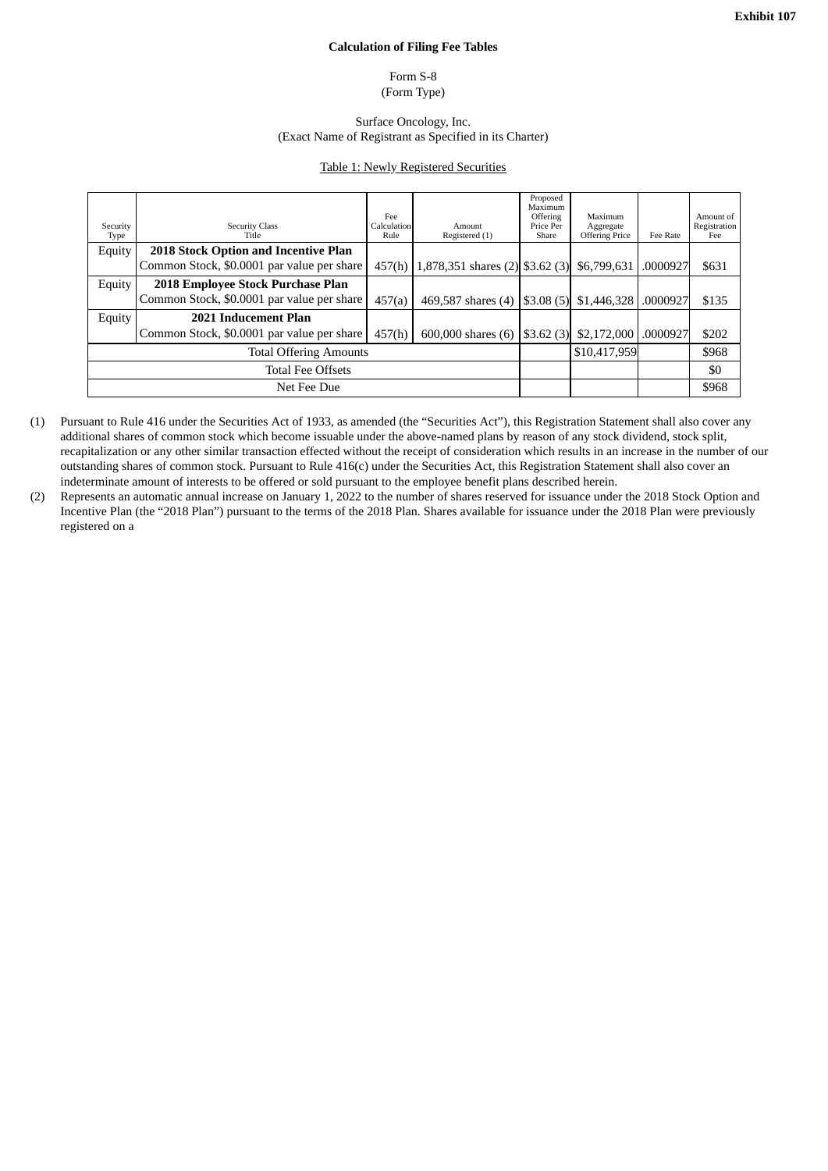#### **Calculation of Filing Fee Tables**

## Form S-8 (Form Type)

## Surface Oncology, Inc. (Exact Name of Registrant as Specified in its Charter)

#### Table 1: Newly Registered Securities

<span id="page-10-0"></span>

| Security<br>Type              | <b>Security Class</b><br>Title              | Fee<br>Calculation<br>Rule | Amount<br>Registered (1)            | Proposed<br>Maximum<br>Offering<br>Price Per<br>Share | Maximum<br>Aggregate<br><b>Offering Price</b> | Fee Rate | Amount of<br>Registration<br>Fee |
|-------------------------------|---------------------------------------------|----------------------------|-------------------------------------|-------------------------------------------------------|-----------------------------------------------|----------|----------------------------------|
| Equity                        | <b>2018 Stock Option and Incentive Plan</b> |                            |                                     |                                                       |                                               |          |                                  |
|                               | Common Stock, \$0.0001 par value per share  | 457(h)                     | 1,878,351 shares $(2)$ \$3.62 $(3)$ |                                                       | \$6,799,631                                   | .0000927 | \$631                            |
| Equity                        | 2018 Employee Stock Purchase Plan           |                            |                                     |                                                       |                                               |          |                                  |
|                               | Common Stock, \$0.0001 par value per share  | 457(a)                     | 469,587 shares (4)                  | \$3.08(5)                                             | \$1,446,328                                   | .0000927 | \$135                            |
| Equity                        | 2021 Inducement Plan                        |                            |                                     |                                                       |                                               |          |                                  |
|                               | Common Stock, \$0.0001 par value per share  | 457(h)                     | 600,000 shares (6)                  | \$3.62(3)                                             | \$2,172,000                                   | .0000927 | \$202                            |
| <b>Total Offering Amounts</b> |                                             |                            |                                     |                                                       | \$10.417.959                                  |          | \$968                            |
| <b>Total Fee Offsets</b>      |                                             |                            |                                     |                                                       |                                               |          | \$0                              |
| Net Fee Due                   |                                             |                            |                                     |                                                       |                                               |          | \$968                            |

- (1) Pursuant to Rule 416 under the Securities Act of 1933, as amended (the "Securities Act"), this Registration Statement shall also cover any additional shares of common stock which become issuable under the above-named plans by reason of any stock dividend, stock split, recapitalization or any other similar transaction effected without the receipt of consideration which results in an increase in the number of our outstanding shares of common stock. Pursuant to Rule 416(c) under the Securities Act, this Registration Statement shall also cover an indeterminate amount of interests to be offered or sold pursuant to the employee benefit plans described herein.
- (2) Represents an automatic annual increase on January 1, 2022 to the number of shares reserved for issuance under the 2018 Stock Option and Incentive Plan (the "2018 Plan") pursuant to the terms of the 2018 Plan. Shares available for issuance under the 2018 Plan were previously registered on a